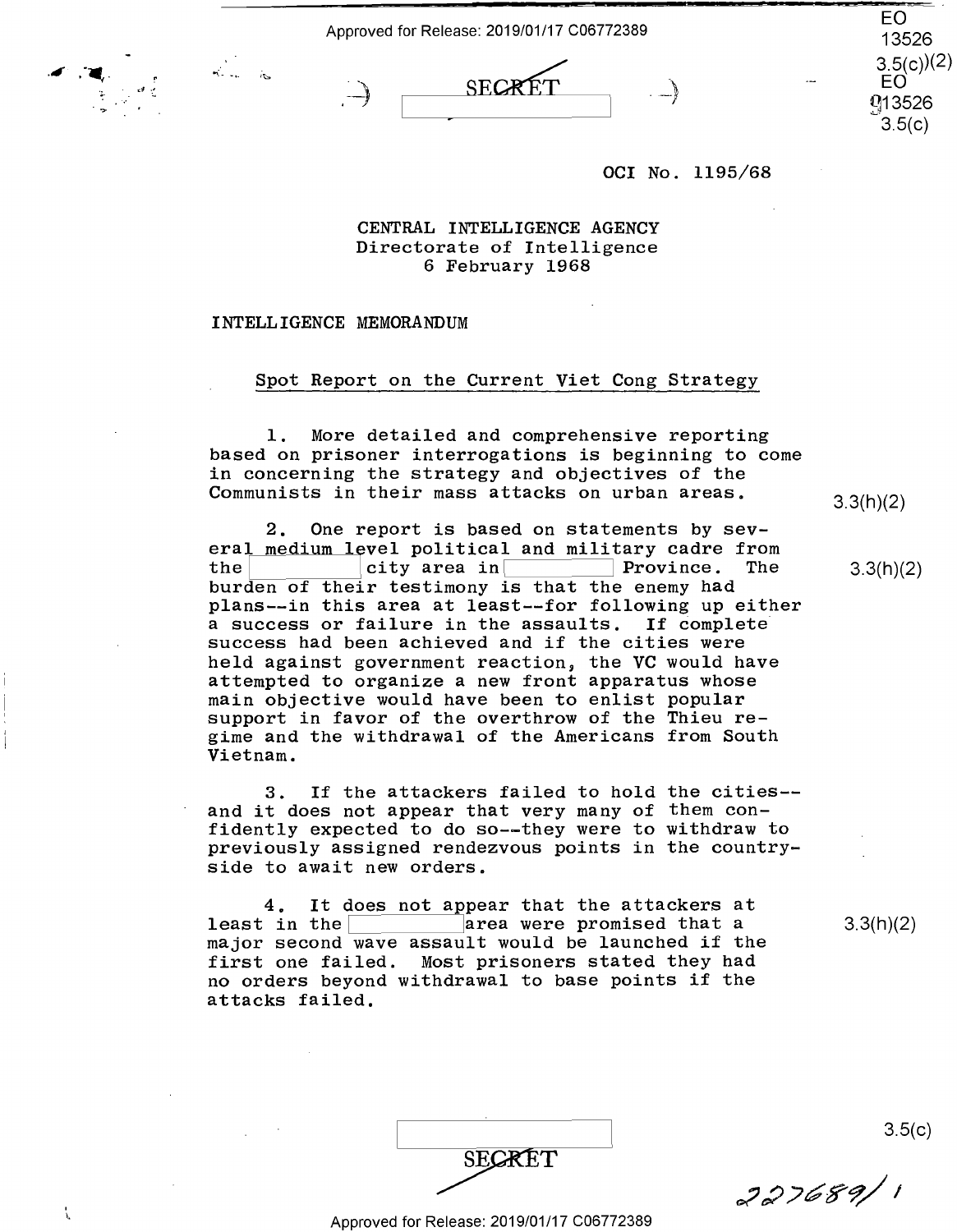Approved for Release: 2019/01/17 C06772389 **EQ**<br>EQ<br>13526



EO 13526  $3.5(c)(2)$ EO q13526 -=-·- 3.5(c)

## OCI No. 1195/68 OCI No. 1195/68

**CENTRAL INTELLIGENCE AGENCY**  CENTRAL INTELLIGENCE AGENCY Directorate of Intelligence Directorate of Intelligence 6 February 1968 6 February 1968

## INTELLIGENCE MEMORANDUM INTELLIGENCE MEMORANDUM

*.ill* . ·•,. ·,;..  $\cdot$  .

 $\sim$ 

 $\mathbf{r}$ 

## Spot Report on the Current Viet Cong Strategy Spot Report on the Current Viet Cong Strategy

1. More detailed and comprehensive reporting 1. More detailed and comprehensive reporting based on prisoner interrogations is beginning to come based on prisoner interrogations is beginning to come in concerning the strategy and objectives of the in concerning the strategy and objectives of the Communists in their mass attacks on urban areas.  $\frac{3}{3}$ <sub>3</sub>(h)(2)

2. One report is based on statements by sev-2. One report is based on statements by sev eral medium level political and military cadre from<br>the ity area in Province. The 3.3 burden of their testimony is that the enemy had burden of their testimony is that the enemy had plans--in this area at least--for following up either plans—-in this area at least——for following up either a success or failure in the assaults. If complete <sup>a</sup> success or failure in the assaults. If complete success had been achieved and if the cities were success had been achieved and if the cities were held against government reaction, the VC would have held against government reaction, the VC would have attempted to organize a new front apparatus whose attempted to organize <sup>a</sup> new front apparatus whose main objective would have been to enlist popular main objective would have been to enlist popular support in favor of the overthrow of the Thieu re-support in favor of the overthrow of the Thieu re gime and the withdrawal of the Americans from South gime and the withdrawal of the Americans from South Vietnam. Vietnam. the city area in  $\Gamma$  Province. The

3. If the attackers failed to hold the cities-- 3. If the attackers failed to hold the cities— and it does not appear that very many of them con-and it does not appear that very many of them con fidently expected to do so--they were to withdraw to fidently expected to do so—uthey were to withdraw to previously assigned rendezvous points in the countryside to await new orders. side to await new orders.

4. It does not appear that the attackers at 4. It does not appear that the attackers at 4. It does not appear that the attackers at  $\frac{4}{\pi}$ . It does not appear that the  $\frac{1}{\pi}$  area were promised that a  $\frac{3.3(h)}{2}$ major second wave assault would be launched if the major second wave assault would be launched if the first one failed. Most prisoners stated they had first one failed. Most prisoners stated they had no orders beyond withdrawal to base points if the no orders beyond withdrawal to base points if the attacks failed. attacks failed.

|        | 3.5(c)  |
|--------|---------|
| SECRET | 227689/ |

3.3(h)(2)

3.3(h)(2)

3.3(h)(2)

.nwéffr/I'

Approved for Release: 2019/01/17 C06772389 Approved for Release: 2019/01/17 006772389